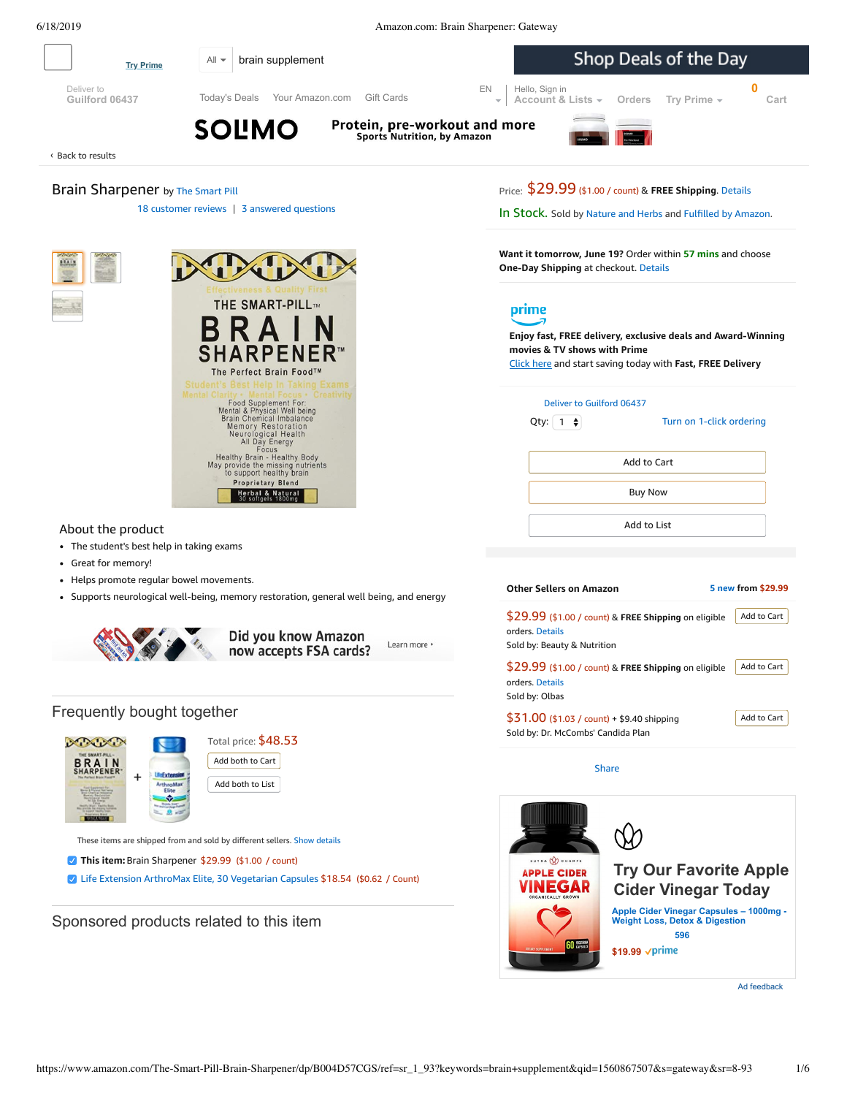<span id="page-0-0"></span>6/18/2019 Amazon.com: Brain Sharpener: Gateway

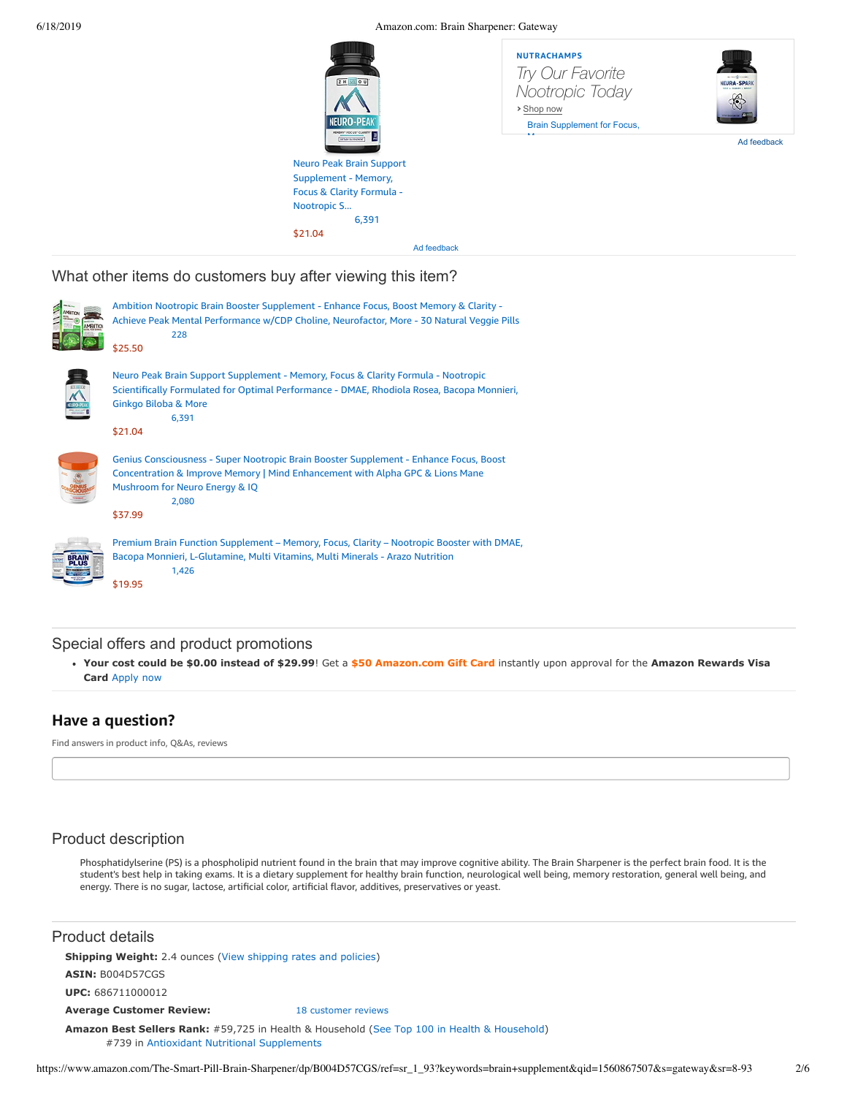里山区

6/18/2019 Amazon.com: Brain Sharpener: Gateway



What other items do customers buy after viewing this item?

| Ambition Nootropic Brain Booster Supplement - Enhance Focus, Boost Memory & Clarity -<br>Achieve Peak Mental Performance w/CDP Choline, Neurofactor, More - 30 Natural Veggie Pills<br>228<br>\$25.50                                  |
|----------------------------------------------------------------------------------------------------------------------------------------------------------------------------------------------------------------------------------------|
| Neuro Peak Brain Support Supplement - Memory, Focus & Clarity Formula - Nootropic<br>Scientifically Formulated for Optimal Performance - DMAE, Rhodiola Rosea, Bacopa Monnieri,<br><b>Ginkgo Biloba &amp; More</b><br>6,391<br>\$21.04 |
| Genius Consciousness - Super Nootropic Brain Booster Supplement - Enhance Focus, Boost<br>Concentration & Improve Memory   Mind Enhancement with Alpha GPC & Lions Mane<br>Mushroom for Neuro Energy & IQ<br>2,080<br>\$37.99          |
| Premium Brain Function Supplement - Memory, Focus, Clarity - Nootropic Booster with DMAE,<br>Bacopa Monnieri, L-Glutamine, Multi Vitamins, Multi Minerals - Arazo Nutrition<br>1,426<br>\$19.95                                        |

# Special offers and product promotions

**[Your cost could be \\$0.00 instead of \\$29.99](https://www.amazon.com/gp/cobrandcard/marketing.html?pr=con321&inc=50gcUnrec&ts=1ybidz8yrea2sewqidm9lmf9ge589g&dasin=B004D57CGS&plattr=math&place=detailpage&imp=86b3f2bb-2360-475e-895a-248fabc9d34e)**! Get a **\$50 Amazon.com Gift Card** instantly upon approval for the **Amazon Rewards Visa Card** Apply now

# **Have a question?**

Find answers in product info, Q&As, reviews

# Product description

Phosphatidylserine (PS) is a phospholipid nutrient found in the brain that may improve cognitive ability. The Brain Sharpener is the perfect brain food. It is the student's best help in taking exams. It is a dietary supplement for healthy brain function, neurological well being, memory restoration, general well being, and energy. There is no sugar, lactose, artificial color, artificial flavor, additives, preservatives or yeast.

## Product details

**Shipping Weight:** 2.4 ounces [\(View shipping rates and policies\)](https://www.amazon.com/gp/help/seller/shipping.html/ref=dp_pd_shipping?ie=UTF8&asin=B004D57CGS&seller=ATVPDKIKX0DER)

**ASIN:** B004D57CGS

**UPC:** 686711000012

**Average Customer Review:** [18 customer reviews](https://www.amazon.com/product-reviews/B004D57CGS/ref=acr_dpproductdetail_text?ie=UTF8&showViewpoints=1)

**Amazon Best Sellers Rank:** #59,725 in Health & Household ([See Top 100 in Health & Household\)](https://www.amazon.com/gp/bestsellers/hpc/ref=pd_zg_ts_hpc) #739 in [Antioxidant Nutritional Supplements](https://www.amazon.com/gp/bestsellers/hpc/3774521/ref=pd_zg_hrsr_hpc)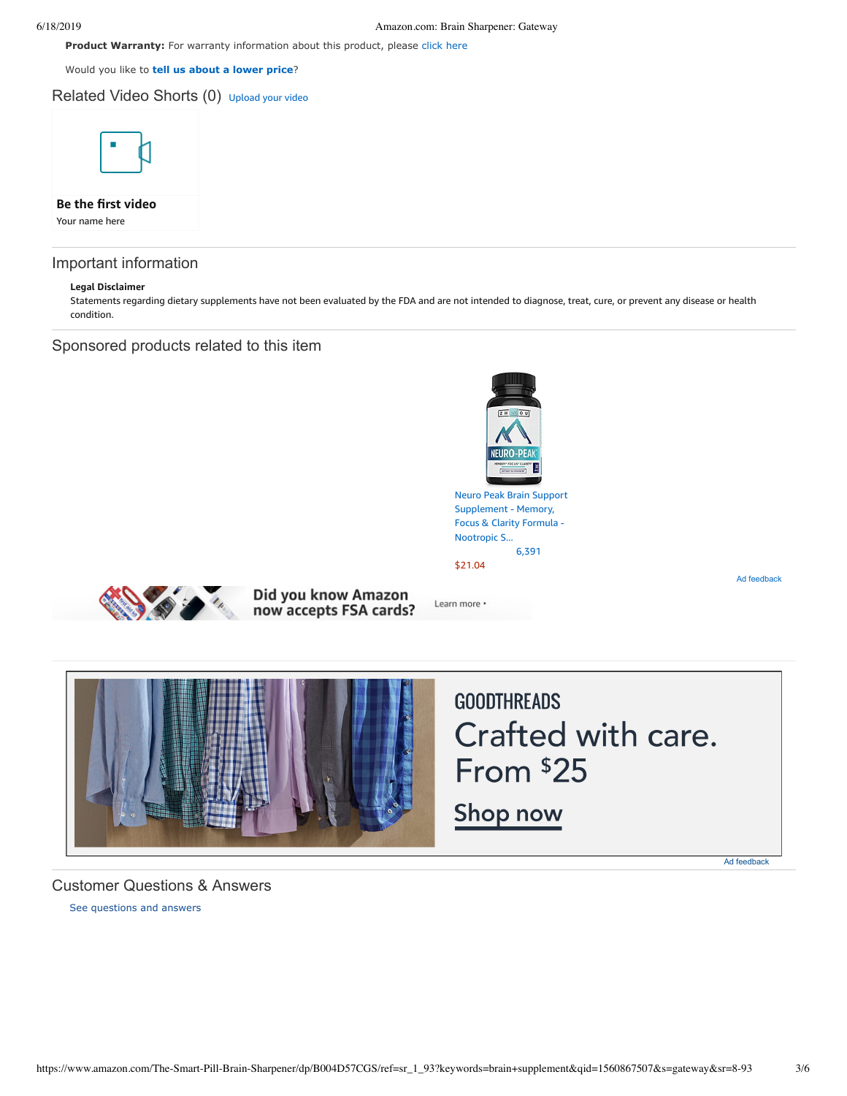Product Warranty: For warranty information about this product, please [click here](https://www.amazon.com/gp/feature.html/ref=dp_warranty_request_3P?ie=UTF8&docId=1002406021)

Would you like to **tell us about a lower price**?

Related Video Shorts (0) [Upload](https://www.amazon.com/creatorhub/video/upload?productASIN=B004D57CGS&referringURL=ZHAvQjAwNEQ1N0NHUw%3D%3D&ref=RVSW) your video



**Be the first video** Your name here

## Important information

## **Legal Disclaimer**

Statements regarding dietary supplements have not been evaluated by the FDA and are not intended to diagnose, treat, cure, or prevent any disease or health condition.

# Sponsored products related to this item



Neuro Peak Brain Support [Supplement](https://www.amazon.com/gp/slredirect/picassoRedirect.html/ref=sspa_dk_detail_0?ie=UTF8&adId=A0018678VNJVKLELGXUS&qualifier=1560881794&id=2432268107961009&widgetName=sp_detail2&url=%2Fdp%2FB0157EJZGI%2Fref%3Dsspa_dk_detail_0%3Fpsc%3D1) - Memory, Focus & Clarity Formula - Nootropic S... [6,391](https://www.amazon.com/gp/slredirect/picassoRedirect.html/ref=sspa_dk_detail_0?ie=UTF8&adId=A0018678VNJVKLELGXUS&qualifier=1560881794&id=2432268107961009&widgetName=sp_detail2&url=%2Fdp%2FB0157EJZGI%2Fref%3Dsspa_dk_detail_0%3Fpsc%3D1#customerReviews) \$21.04

Ad feedback



Did you know Amazon now accepts FSA cards?

Learn more \*



# <span id="page-2-0"></span>[See questions and answers](https://www.amazon.com/ask/questions/asin/B004D57CGS/ref=cm_cd_dp_lla_ql_ll) Customer Questions & Answers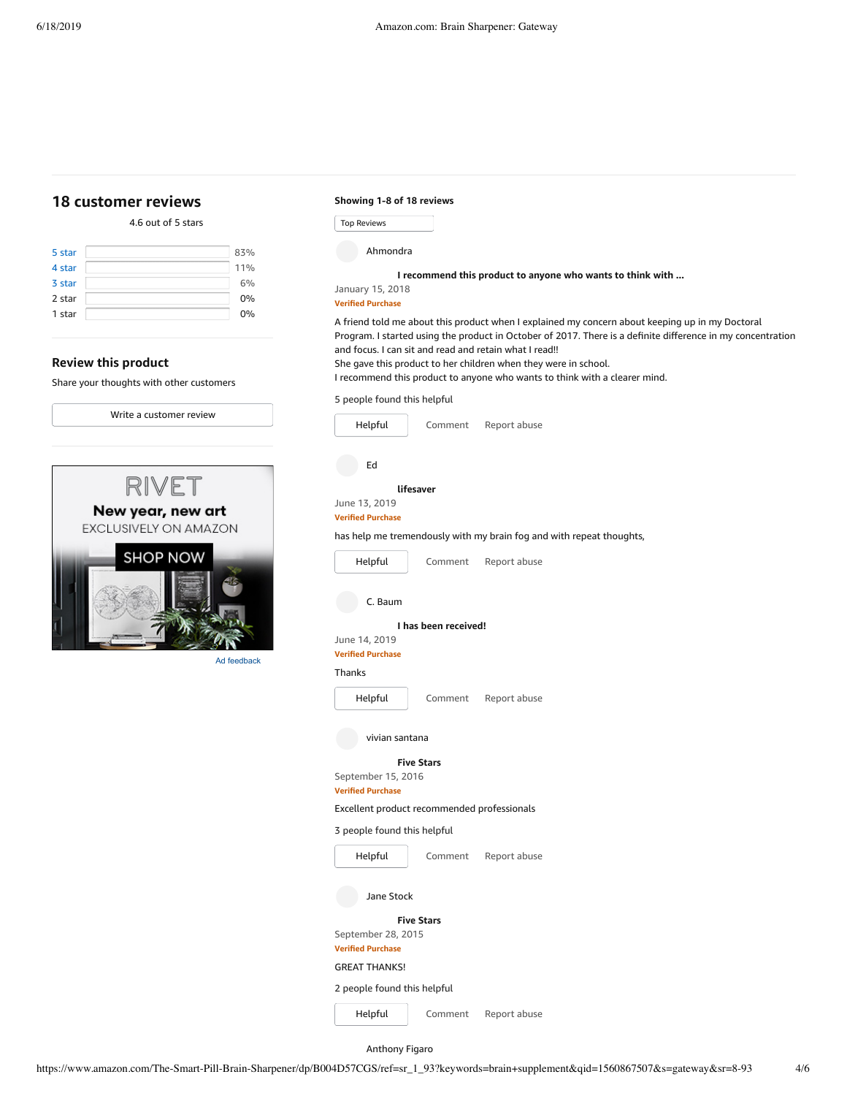# <span id="page-3-0"></span>**[18 customer](https://www.amazon.com/The-Smart-Pill-Brain-Sharpener/product-reviews/B004D57CGS/ref=cm_cr_dp_d_show_all_top?ie=UTF8&reviewerType=all_reviews) reviews**

4.6 out of 5 [stars](javascript:void(0))

| 5 star | 83% |
|--------|-----|
| 4 star | 11% |
| 3 star | 6%  |
| 2 star | 0%  |
| 1 star | 0%  |
|        |     |

## **Review this product**

Share your thoughts with other customers



### **Showing 1-8 of 18 reviews**

Top Reviews Top Reviews

Ahmondra

## **I [recommend](https://www.amazon.com/gp/customer-reviews/R2FYFBCR65QDQP/ref=cm_cr_dp_d_rvw_ttl?ie=UTF8&ASIN=B004D57CGS) this product to anyone who wants to think with ...**

January 15, 2018 **Verified Purchase**

A friend told me about this product when I explained my concern about keeping up in my Doctoral Program. I started using the product in October of 2017. There is a definite difference in my concentration and focus. I can sit and read and retain what I read!!

She gave this product to her children when they were in school.

I recommend this product to anyone who wants to think with a clearer mind.

## 5 people found this helpful



Anthony Figaro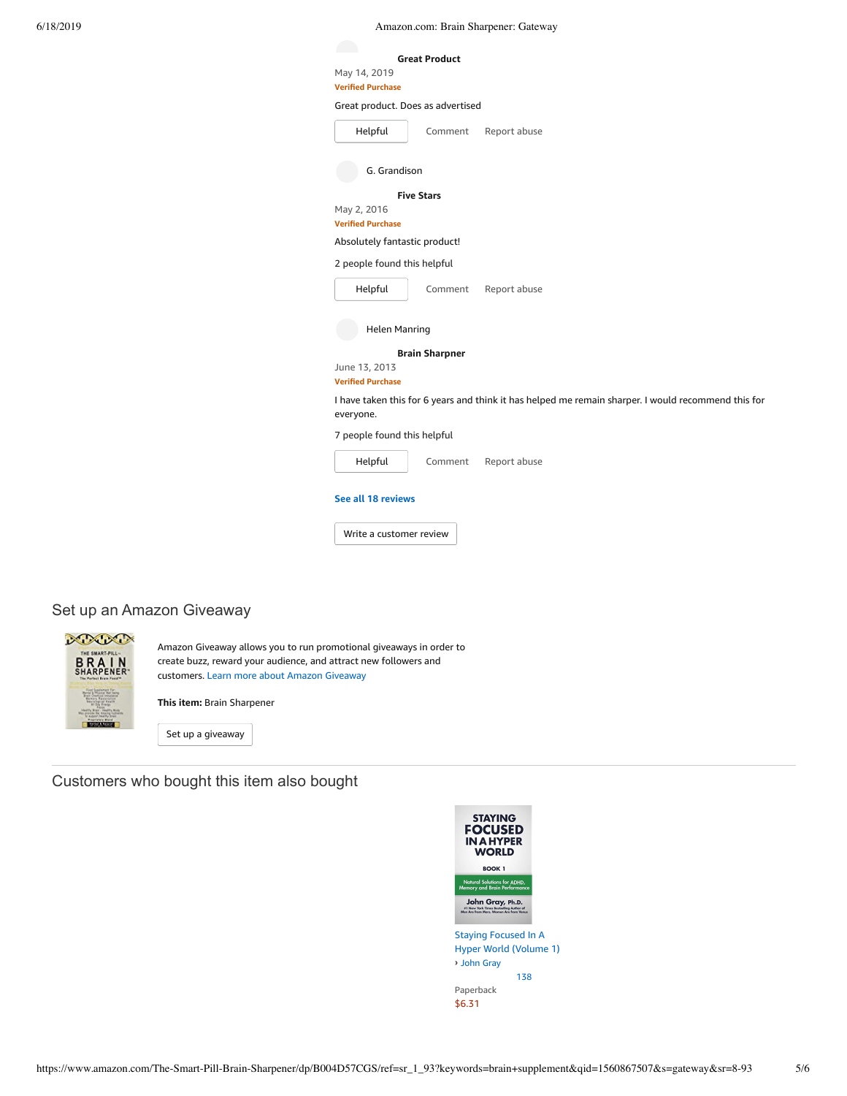6/18/2019 Amazon.com: Brain Sharpener: Gateway

| May 14, 2019<br><b>Verified Purchase</b>  | <b>Great Product</b>  |                                                                                                     |
|-------------------------------------------|-----------------------|-----------------------------------------------------------------------------------------------------|
| Great product. Does as advertised         |                       |                                                                                                     |
| Helpful                                   | Comment               | Report abuse                                                                                        |
| G. Grandison                              |                       |                                                                                                     |
|                                           | <b>Five Stars</b>     |                                                                                                     |
| May 2, 2016<br><b>Verified Purchase</b>   |                       |                                                                                                     |
| Absolutely fantastic product!             |                       |                                                                                                     |
| 2 people found this helpful               |                       |                                                                                                     |
| Helpful                                   | Comment               | Report abuse                                                                                        |
|                                           |                       |                                                                                                     |
| <b>Helen Manring</b>                      |                       |                                                                                                     |
|                                           | <b>Brain Sharpner</b> |                                                                                                     |
|                                           |                       |                                                                                                     |
| June 13, 2013<br><b>Verified Purchase</b> |                       |                                                                                                     |
|                                           |                       |                                                                                                     |
| 7 people found this helpful               |                       | I have taken this for 6 years and think it has helped me remain sharper. I would recommend this for |
| everyone.<br>Helpful                      | Comment               | Report abuse                                                                                        |
| See all 18 reviews                        |                       |                                                                                                     |

# Set up an Amazon Giveaway



Amazon Giveaway allows you to run promotional giveaways in order to create buzz, reward your audience, and attract new followers and customers. Learn more about Amazon [Giveaway](https://www.amazon.com/gp/giveaway/home?ref=aga_dp_lm)

Set up a [giveaway](https://www.amazon.com/giveaway/host/setup/ref=aga_h_su_dp?_encoding=UTF8&asin=B004D57CGS)

**This item:** Brain Sharpener

Customers who bought this item also bought